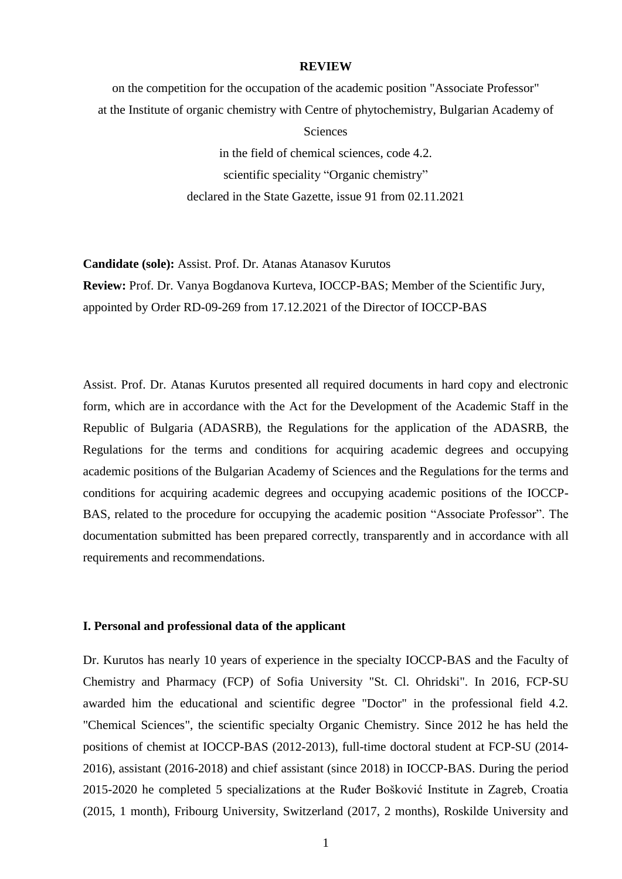#### **REVIEW**

on the competition for the occupation of the academic position "Associate Professor" at the Institute of organic chemistry with Centre of phytochemistry, Bulgarian Academy of **Sciences** in the field of chemical sciences, code 4.2.

scientific speciality "Organic chemistry" declared in the State Gazette, issue 91 from 02.11.2021

**Candidate (sole):** Assist. Prof. Dr. Atanas Atanasov Kurutos **Review:** Prof. Dr. Vanya Bogdanova Kurteva, IOCCP-BAS; Member of the Scientific Jury, appointed by Order RD-09-269 from 17.12.2021 of the Director of IOCCP-BAS

Assist. Prof. Dr. Atanas Kurutos presented all required documents in hard copy and electronic form, which are in accordance with the Act for the Development of the Academic Staff in the Republic of Bulgaria (ADASRB), the Regulations for the application of the ADASRB, the Regulations for the terms and conditions for acquiring academic degrees and occupying academic positions of the Bulgarian Academy of Sciences and the Regulations for the terms and conditions for acquiring academic degrees and occupying academic positions of the IOCCP-BAS, related to the procedure for occupying the academic position "Associate Professor". The documentation submitted has been prepared correctly, transparently and in accordance with all requirements and recommendations.

## **I. Personal and professional data of the applicant**

Dr. Kurutos has nearly 10 years of experience in the specialty IOCCP-BAS and the Faculty of Chemistry and Pharmacy (FCP) of Sofia University "St. Cl. Ohridski". In 2016, FCP-SU awarded him the educational and scientific degree "Doctor" in the professional field 4.2. "Chemical Sciences", the scientific specialty Organic Chemistry. Since 2012 he has held the positions of chemist at IOCCP-BAS (2012-2013), full-time doctoral student at FCP-SU (2014- 2016), assistant (2016-2018) and chief assistant (since 2018) in IOCCP-BAS. During the period 2015-2020 he completed 5 specializations at the Ruđer Bošković Institute in Zagreb, Croatia (2015, 1 month), Fribourg University, Switzerland (2017, 2 months), Roskilde University and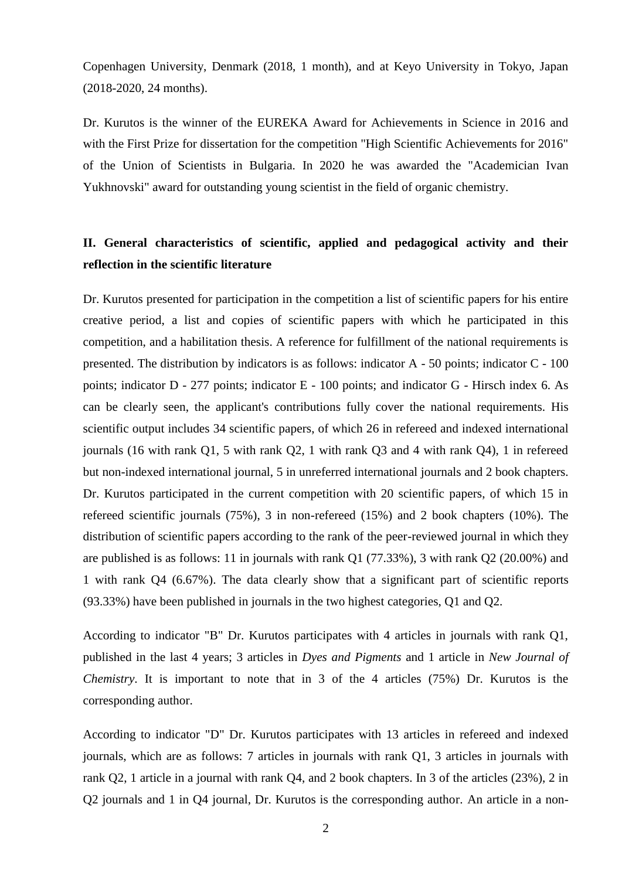Copenhagen University, Denmark (2018, 1 month), and at Keyo University in Tokyo, Japan (2018-2020, 24 months).

Dr. Kurutos is the winner of the EUREKA Award for Achievements in Science in 2016 and with the First Prize for dissertation for the competition "High Scientific Achievements for 2016" of the Union of Scientists in Bulgaria. In 2020 he was awarded the "Academician Ivan Yukhnovski" award for outstanding young scientist in the field of organic chemistry.

# **II. General characteristics of scientific, applied and pedagogical activity and their reflection in the scientific literature**

Dr. Kurutos presented for participation in the competition a list of scientific papers for his entire creative period, a list and copies of scientific papers with which he participated in this competition, and a habilitation thesis. A reference for fulfillment of the national requirements is presented. The distribution by indicators is as follows: indicator A - 50 points; indicator C - 100 points; indicator D - 277 points; indicator E - 100 points; and indicator G - Hirsch index 6. As can be clearly seen, the applicant's contributions fully cover the national requirements. His scientific output includes 34 scientific papers, of which 26 in refereed and indexed international journals (16 with rank Q1, 5 with rank Q2, 1 with rank Q3 and 4 with rank Q4), 1 in refereed but non-indexed international journal, 5 in unreferred international journals and 2 book chapters. Dr. Kurutos participated in the current competition with 20 scientific papers, of which 15 in refereed scientific journals (75%), 3 in non-refereed (15%) and 2 book chapters (10%). The distribution of scientific papers according to the rank of the peer-reviewed journal in which they are published is as follows: 11 in journals with rank Q1 (77.33%), 3 with rank Q2 (20.00%) and 1 with rank Q4 (6.67%). The data clearly show that a significant part of scientific reports (93.33%) have been published in journals in the two highest categories, Q1 and Q2.

According to indicator "B" Dr. Kurutos participates with 4 articles in journals with rank Q1, published in the last 4 years; 3 articles in *Dyes and Pigments* and 1 article in *New Journal of Chemistry*. It is important to note that in 3 of the 4 articles (75%) Dr. Kurutos is the corresponding author.

According to indicator "D" Dr. Kurutos participates with 13 articles in refereed and indexed journals, which are as follows: 7 articles in journals with rank Q1, 3 articles in journals with rank Q2, 1 article in a journal with rank Q4, and 2 book chapters. In 3 of the articles (23%), 2 in Q2 journals and 1 in Q4 journal, Dr. Kurutos is the corresponding author. An article in a non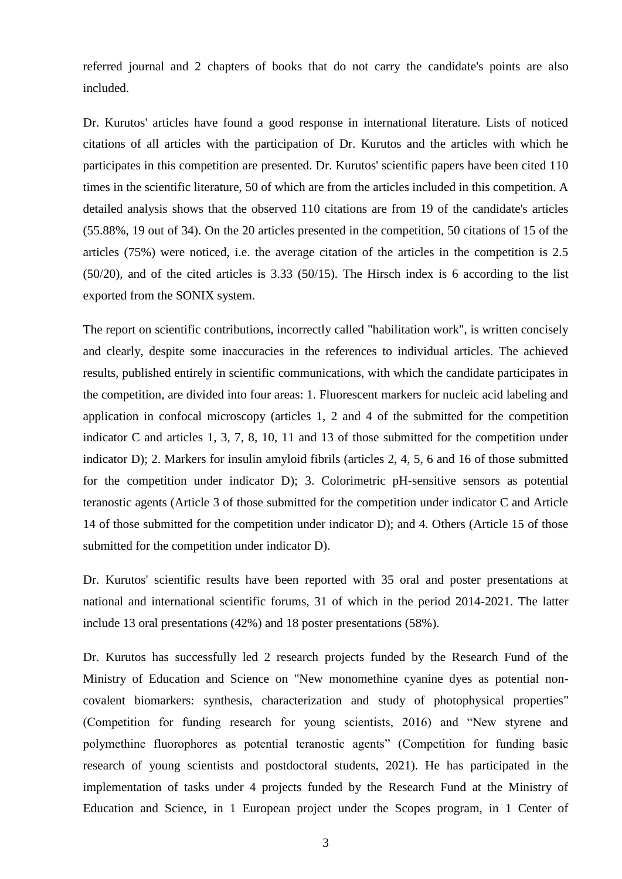referred journal and 2 chapters of books that do not carry the candidate's points are also included.

Dr. Kurutos' articles have found a good response in international literature. Lists of noticed citations of all articles with the participation of Dr. Kurutos and the articles with which he participates in this competition are presented. Dr. Kurutos' scientific papers have been cited 110 times in the scientific literature, 50 of which are from the articles included in this competition. A detailed analysis shows that the observed 110 citations are from 19 of the candidate's articles (55.88%, 19 out of 34). On the 20 articles presented in the competition, 50 citations of 15 of the articles (75%) were noticed, i.e. the average citation of the articles in the competition is 2.5 (50/20), and of the cited articles is 3.33 (50/15). The Hirsch index is 6 according to the list exported from the SONIX system.

The report on scientific contributions, incorrectly called "habilitation work", is written concisely and clearly, despite some inaccuracies in the references to individual articles. The achieved results, published entirely in scientific communications, with which the candidate participates in the competition, are divided into four areas: 1. Fluorescent markers for nucleic acid labeling and application in confocal microscopy (articles 1, 2 and 4 of the submitted for the competition indicator C and articles 1, 3, 7, 8, 10, 11 and 13 of those submitted for the competition under indicator D); 2. Markers for insulin amyloid fibrils (articles 2, 4, 5, 6 and 16 of those submitted for the competition under indicator D); 3. Colorimetric pH-sensitive sensors as potential teranostic agents (Article 3 of those submitted for the competition under indicator C and Article 14 of those submitted for the competition under indicator D); and 4. Others (Article 15 of those submitted for the competition under indicator D).

Dr. Kurutos' scientific results have been reported with 35 oral and poster presentations at national and international scientific forums, 31 of which in the period 2014-2021. The latter include 13 oral presentations (42%) and 18 poster presentations (58%).

Dr. Kurutos has successfully led 2 research projects funded by the Research Fund of the Ministry of Education and Science on "New monomethine cyanine dyes as potential noncovalent biomarkers: synthesis, characterization and study of photophysical properties" (Competition for funding research for young scientists, 2016) and "New styrene and polymethine fluorophores as potential teranostic agents" (Competition for funding basic research of young scientists and postdoctoral students, 2021). He has participated in the implementation of tasks under 4 projects funded by the Research Fund at the Ministry of Education and Science, in 1 European project under the Scopes program, in 1 Center of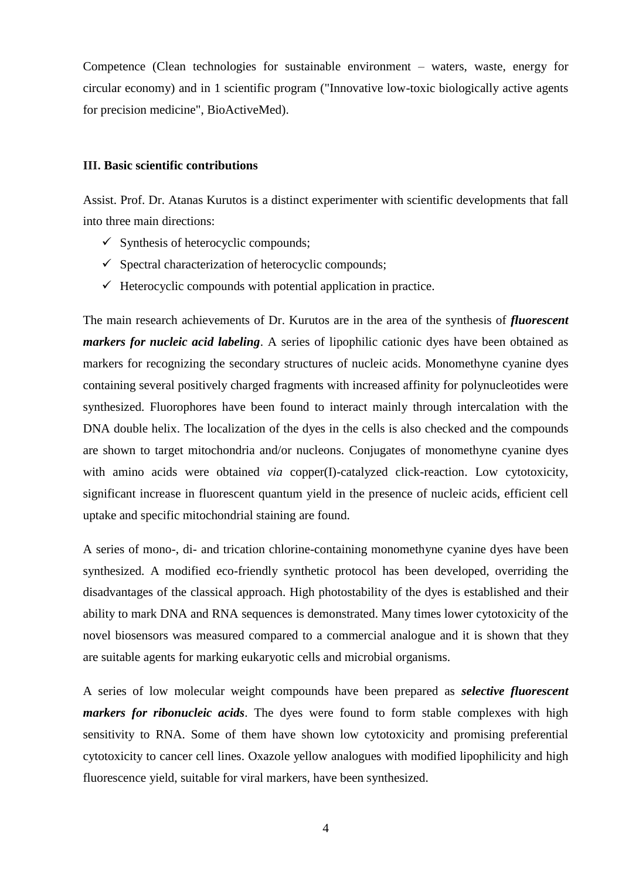Competence (Clean technologies for sustainable environment – waters, waste, energy for circular economy) and in 1 scientific program ("Innovative low-toxic biologically active agents for precision medicine", BioActiveMed).

# **III. Basic scientific contributions**

Assist. Prof. Dr. Atanas Kurutos is a distinct experimenter with scientific developments that fall into three main directions:

- $\checkmark$  Synthesis of heterocyclic compounds;
- $\checkmark$  Spectral characterization of heterocyclic compounds;
- $\checkmark$  Heterocyclic compounds with potential application in practice.

The main research achievements of Dr. Kurutos are in the area of the synthesis of *fluorescent markers for nucleic acid labeling*. A series of lipophilic cationic dyes have been obtained as markers for recognizing the secondary structures of nucleic acids. Monomethyne cyanine dyes containing several positively charged fragments with increased affinity for polynucleotides were synthesized. Fluorophores have been found to interact mainly through intercalation with the DNA double helix. The localization of the dyes in the cells is also checked and the compounds are shown to target mitochondria and/or nucleons. Conjugates of monomethyne cyanine dyes with amino acids were obtained *via* copper(I)-catalyzed click-reaction. Low cytotoxicity, significant increase in fluorescent quantum yield in the presence of nucleic acids, efficient cell uptake and specific mitochondrial staining are found.

A series of mono-, di- and trication chlorine-containing monomethyne cyanine dyes have been synthesized. A modified eco-friendly synthetic protocol has been developed, overriding the disadvantages of the classical approach. High photostability of the dyes is established and their ability to mark DNA and RNA sequences is demonstrated. Many times lower cytotoxicity of the novel biosensors was measured compared to a commercial analogue and it is shown that they are suitable agents for marking eukaryotic cells and microbial organisms.

A series of low molecular weight compounds have been prepared as *selective fluorescent markers for ribonucleic acids*. The dyes were found to form stable complexes with high sensitivity to RNA. Some of them have shown low cytotoxicity and promising preferential cytotoxicity to cancer cell lines. Oxazole yellow analogues with modified lipophilicity and high fluorescence yield, suitable for viral markers, have been synthesized.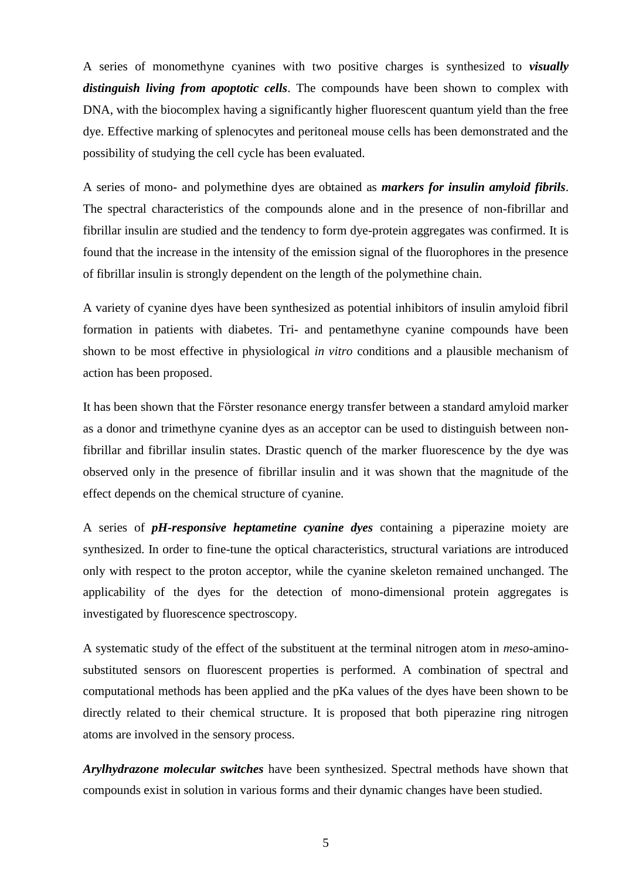A series of monomethyne cyanines with two positive charges is synthesized to *visually distinguish living from apoptotic cells*. The compounds have been shown to complex with DNA, with the biocomplex having a significantly higher fluorescent quantum yield than the free dye. Effective marking of splenocytes and peritoneal mouse cells has been demonstrated and the possibility of studying the cell cycle has been evaluated.

A series of mono- and polymethine dyes are obtained as *markers for insulin amyloid fibrils*. The spectral characteristics of the compounds alone and in the presence of non-fibrillar and fibrillar insulin are studied and the tendency to form dye-protein aggregates was confirmed. It is found that the increase in the intensity of the emission signal of the fluorophores in the presence of fibrillar insulin is strongly dependent on the length of the polymethine chain.

A variety of cyanine dyes have been synthesized as potential inhibitors of insulin amyloid fibril formation in patients with diabetes. Tri- and pentamethyne cyanine compounds have been shown to be most effective in physiological *in vitro* conditions and a plausible mechanism of action has been proposed.

It has been shown that the Förster resonance energy transfer between a standard amyloid marker as a donor and trimethyne cyanine dyes as an acceptor can be used to distinguish between nonfibrillar and fibrillar insulin states. Drastic quench of the marker fluorescence by the dye was observed only in the presence of fibrillar insulin and it was shown that the magnitude of the effect depends on the chemical structure of cyanine.

A series of *pH-responsive heptametine cyanine dyes* containing a piperazine moiety are synthesized. In order to fine-tune the optical characteristics, structural variations are introduced only with respect to the proton acceptor, while the cyanine skeleton remained unchanged. The applicability of the dyes for the detection of mono-dimensional protein aggregates is investigated by fluorescence spectroscopy.

A systematic study of the effect of the substituent at the terminal nitrogen atom in *meso*-aminosubstituted sensors on fluorescent properties is performed. A combination of spectral and computational methods has been applied and the pKa values of the dyes have been shown to be directly related to their chemical structure. It is proposed that both piperazine ring nitrogen atoms are involved in the sensory process.

*Arylhydrazone molecular switches* have been synthesized. Spectral methods have shown that compounds exist in solution in various forms and their dynamic changes have been studied.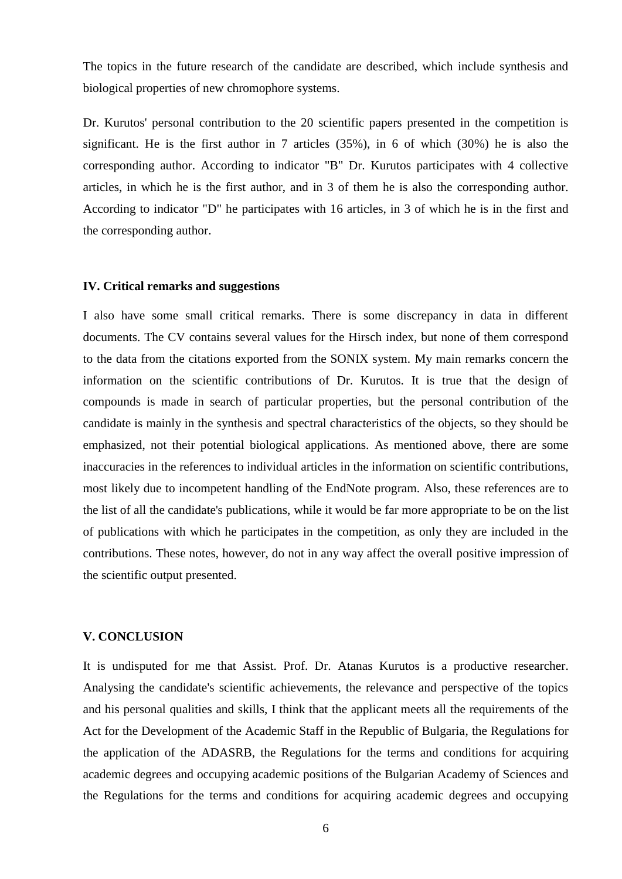The topics in the future research of the candidate are described, which include synthesis and biological properties of new chromophore systems.

Dr. Kurutos' personal contribution to the 20 scientific papers presented in the competition is significant. He is the first author in 7 articles (35%), in 6 of which (30%) he is also the corresponding author. According to indicator "B" Dr. Kurutos participates with 4 collective articles, in which he is the first author, and in 3 of them he is also the corresponding author. According to indicator "D" he participates with 16 articles, in 3 of which he is in the first and the corresponding author.

#### **IV. Critical remarks and suggestions**

I also have some small critical remarks. There is some discrepancy in data in different documents. The CV contains several values for the Hirsch index, but none of them correspond to the data from the citations exported from the SONIX system. My main remarks concern the information on the scientific contributions of Dr. Kurutos. It is true that the design of compounds is made in search of particular properties, but the personal contribution of the candidate is mainly in the synthesis and spectral characteristics of the objects, so they should be emphasized, not their potential biological applications. As mentioned above, there are some inaccuracies in the references to individual articles in the information on scientific contributions, most likely due to incompetent handling of the EndNote program. Also, these references are to the list of all the candidate's publications, while it would be far more appropriate to be on the list of publications with which he participates in the competition, as only they are included in the contributions. These notes, however, do not in any way affect the overall positive impression of the scientific output presented.

## **V. CONCLUSION**

It is undisputed for me that Assist. Prof. Dr. Atanas Kurutos is a productive researcher. Analysing the candidate's scientific achievements, the relevance and perspective of the topics and his personal qualities and skills, I think that the applicant meets all the requirements of the Act for the Development of the Academic Staff in the Republic of Bulgaria, the Regulations for the application of the ADASRB, the Regulations for the terms and conditions for acquiring academic degrees and occupying academic positions of the Bulgarian Academy of Sciences and the Regulations for the terms and conditions for acquiring academic degrees and occupying